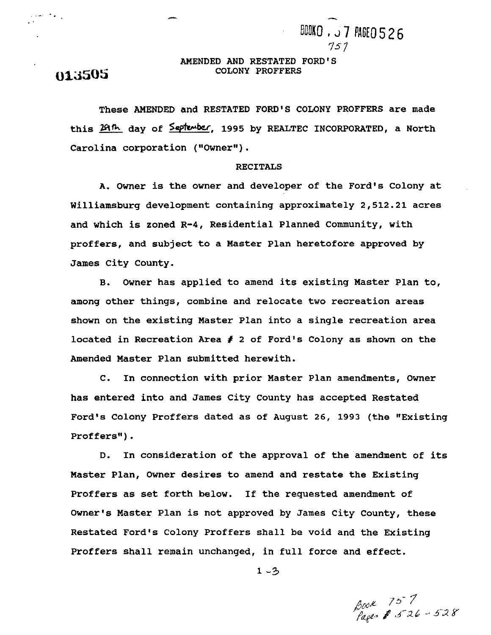## **AMENDED AND RESTATED FORD'S gp;j5OS COLONY PROFFERS**

757

BOOKO . J 7 PAGEO 526

 $\mathcal{L}_{\text{max}}$  ,  $\mathcal{L}_{\text{max}}$ 

**These AMENDED and RESTATED FORD'S COLONY PROFFERS are made**  this 29th day of September, 1995 by REALTEC INCORPORATED, a North Carolina corporation ("Owner").

#### **RECITALS**

**A. Owner is the owner and developer of the Ford's Colony at Williamsburg development containing approximately 2,512.21 acres and which is zoned R-4, Residential Planned Community, with proffers, and subject to a Master Plan heretofore approved by James City County.** 

**B. Owner has applied to amend its existing Master Plan to, among other things, combine and relocate two recreation areas shown on the existing Master Plan into a single recreation area located in Recreation Area** # **2 of Ford's Colony as shown on the Amended Master Plan submitted herewith.** 

**C. In connection with prior Master Plan amendments, Owner has entered into and James City County has accepted Restated Ford's Colony Proffers dated as of August 26, 1993 (the "Existing**  Proffers").

**D.** In consideration of the approval of the amendment of its **Master Plan, Owner desires to amend and restate the Existing Proffers as set forth below. If the requested amendment of Owner's Master Plan is not approved by James City County, these Restated Ford's Colony Proffers shall be void and the Existing Proffers shall remain unchanged, in full force and effect.** 

**1 -3** 

Book 757<br>Pages \$ 526-528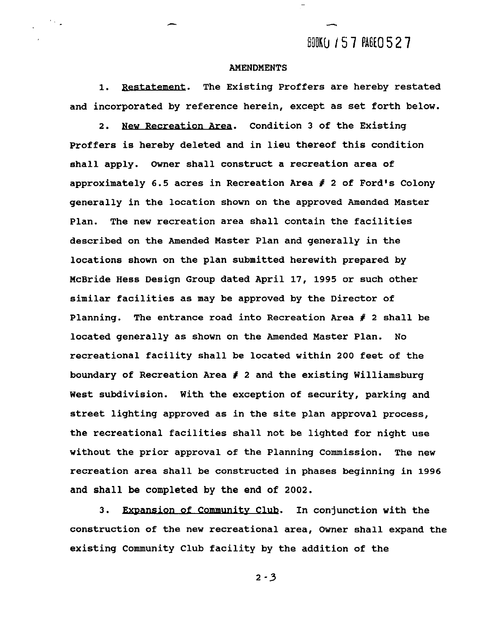# **BOOKCJ 157 PAGEO 527**

-

### **AMENDMENTS**

 $\mathcal{F}_{\mathcal{F}_{\mathcal{A},\mathbf{r}}}$ 

**1.** Restatement. **The Existing Proffers are hereby restated and incorporated by reference herein, except as set forth below. 2. Restatement.** The Existing Proffers are hereby restated<br> **Condition 3 of the Existing**<br> **2. New Recreation Area.** Condition 3 of the Existing<br> **Existing** 

**Proffers is hereby deleted and in lieu thereof this condition shall apply. Owner shall construct a recreation area of approximately 6.5 acres in Recreation Area f 2 of Ford's Colony generally in the location shown on the approved Amended Master Plan. The new recreation area shall contain the facilities described on the Amended Master Plan and generally in the locations shown on the plan submitted herewith prepared by McBride Hess Design Group dated April 17, 1995 or such other similar facilities as may be approved by the Director of Planning. The entrance road into Recreation Area** # **2 shall be located generally as shown on the Amended Master Plan. No recreational facility shall be located within 200 feet of the boundary of Recreation Area** # **2 and the existing Williamsburg West subdivision. With the exception of security, parking and street lighting approved as in the site plan approval process, the recreational facilities shall not be lighted for night use without the prior approval of the Planning Commission. The new recreation area shall be constructed in phases beginning in 1996 and shall be completed by the end of 2002.** 

**3.** Expansion of Community Club. In conjunction with the **construction of the new recreational area, Owner shall expand the existing Community Club facility by the addition of the** 

 $2 - 3$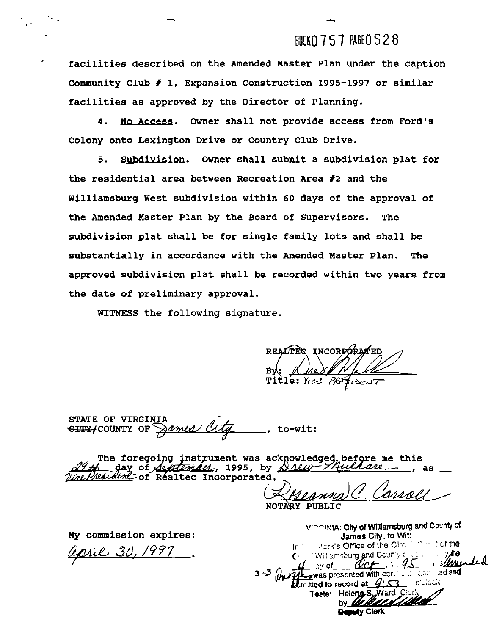## BOOK0 7 5 7 **PAGE0** *5* 2 8

**facilities described on the Amended Master Plan under the caption Community Club** # **1, Expansion Construction 1995-1997 or similar facilities as approved by the Director of Planning.** 

**4.** &J **Access. Owner shall not provide access from Ford's Colony onto Lexington Drive or Country Club Drive.** 

5. Subdivision. Owner shall submit a subdivision plat for **the residential area between Recreation Area #2 and the Williamsburg West subdivision within 60 days of the approval of the Amended Master Plan by the Board of Supervisors. The subdivision plat shall be for single family lots and shall be substantially in accordance with the Amended Master Plan. The approved subdivision plat shall be recorded within two years from the date of preliminary approval.** 

**WITNESS the following signature.** 

- **<sup>I</sup>**- **,I** 

REALTES INCORPORA Title: Yest PRESIDENT

STATE OF VIRGINIA<br><del>GITY/</del>COUNTY OF *Aamed City*<sub>---</sub>, to-wit:

The foregoing instrument was acknowledged, before me this day of *September*, 1995, by <u>Drew-Thilane</u> Wire/Wessdem of Réaltec Incorporated.

NOTARY PUBLIC

**My commission expires:** 

pril 30,

**!~v-c~Y~A: Cny of Wlllamsburg and Countyd James City, to Wit: Ir** *1-rvs* **office of** the Ci:: ' cf **the** √⊜v of was presented with cortain and and Elimitted to record at  $\sqrt{9.53}$ Teste: Heleng<sub>S</sub> **by** Welles Deputy Clerk